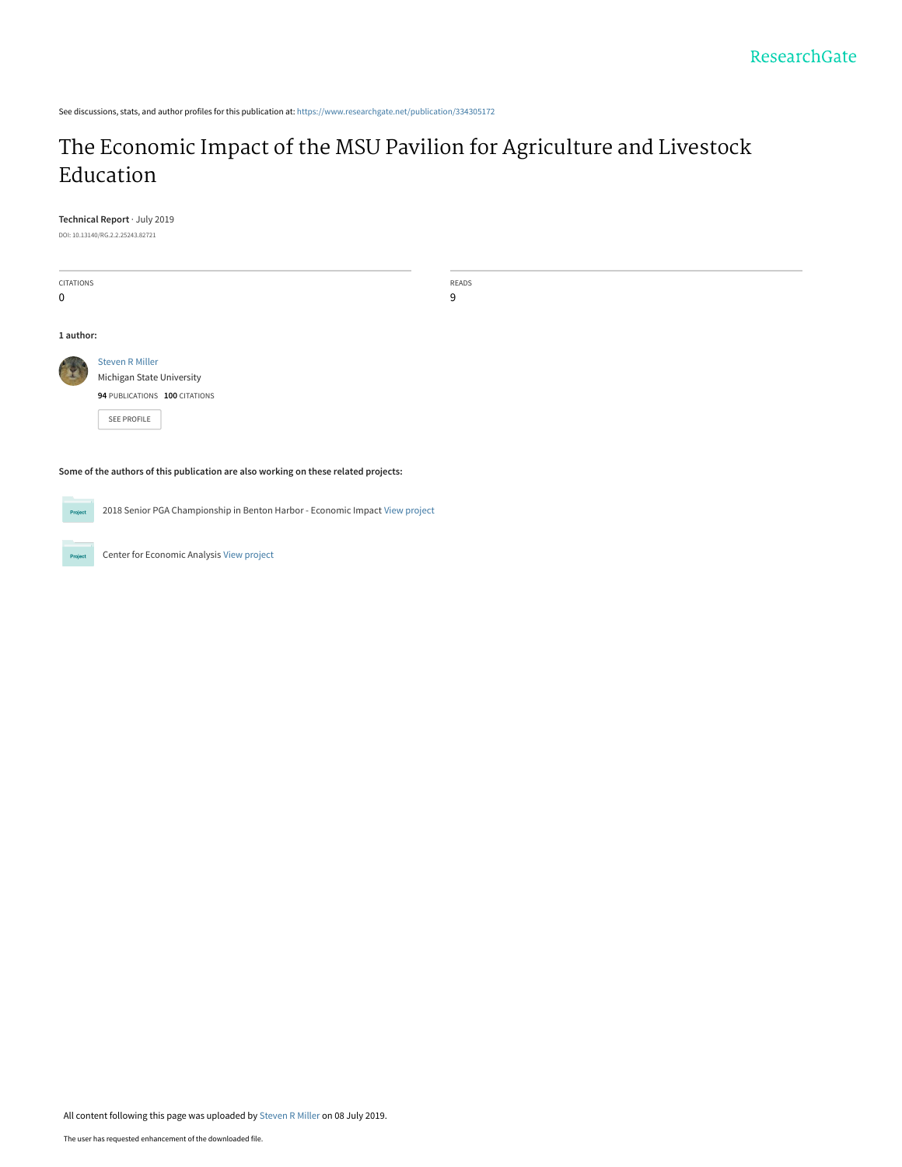See discussions, stats, and author profiles for this publication at: [https://www.researchgate.net/publication/334305172](https://www.researchgate.net/publication/334305172_The_Economic_Impact_of_the_MSU_Pavilion_for_Agriculture_and_Livestock_Education?enrichId=rgreq-701fbf98f85cea8423f450c735e2e325-XXX&enrichSource=Y292ZXJQYWdlOzMzNDMwNTE3MjtBUzo3Nzg0MjU4NzQ4MDA2NDBAMTU2MjYwMjU5OTA2Mg%3D%3D&el=1_x_2&_esc=publicationCoverPdf)

# [The Economic Impact of the MSU Pavilion for Agriculture and Livestock](https://www.researchgate.net/publication/334305172_The_Economic_Impact_of_the_MSU_Pavilion_for_Agriculture_and_Livestock_Education?enrichId=rgreq-701fbf98f85cea8423f450c735e2e325-XXX&enrichSource=Y292ZXJQYWdlOzMzNDMwNTE3MjtBUzo3Nzg0MjU4NzQ4MDA2NDBAMTU2MjYwMjU5OTA2Mg%3D%3D&el=1_x_3&_esc=publicationCoverPdf) Education

**Technical Report** · July 2019

DOI: 10.13140/RG.2.2.25243.82721

| CITATIONS                                                                           |                                                                              | READS |  |  |  |
|-------------------------------------------------------------------------------------|------------------------------------------------------------------------------|-------|--|--|--|
| $\mathbf 0$                                                                         |                                                                              | 9     |  |  |  |
| 1 author:                                                                           |                                                                              |       |  |  |  |
|                                                                                     |                                                                              |       |  |  |  |
|                                                                                     | <b>Steven R Miller</b>                                                       |       |  |  |  |
|                                                                                     | Michigan State University                                                    |       |  |  |  |
|                                                                                     | 94 PUBLICATIONS 100 CITATIONS                                                |       |  |  |  |
|                                                                                     | SEE PROFILE                                                                  |       |  |  |  |
|                                                                                     |                                                                              |       |  |  |  |
| Some of the authors of this publication are also working on these related projects: |                                                                              |       |  |  |  |
| Project                                                                             | 2018 Senior PGA Championship in Benton Harbor - Economic Impact View project |       |  |  |  |
| Project                                                                             | Center for Economic Analysis View project                                    |       |  |  |  |

All content following this page was uploaded by [Steven R Miller](https://www.researchgate.net/profile/Steven_Miller15?enrichId=rgreq-701fbf98f85cea8423f450c735e2e325-XXX&enrichSource=Y292ZXJQYWdlOzMzNDMwNTE3MjtBUzo3Nzg0MjU4NzQ4MDA2NDBAMTU2MjYwMjU5OTA2Mg%3D%3D&el=1_x_10&_esc=publicationCoverPdf) on 08 July 2019.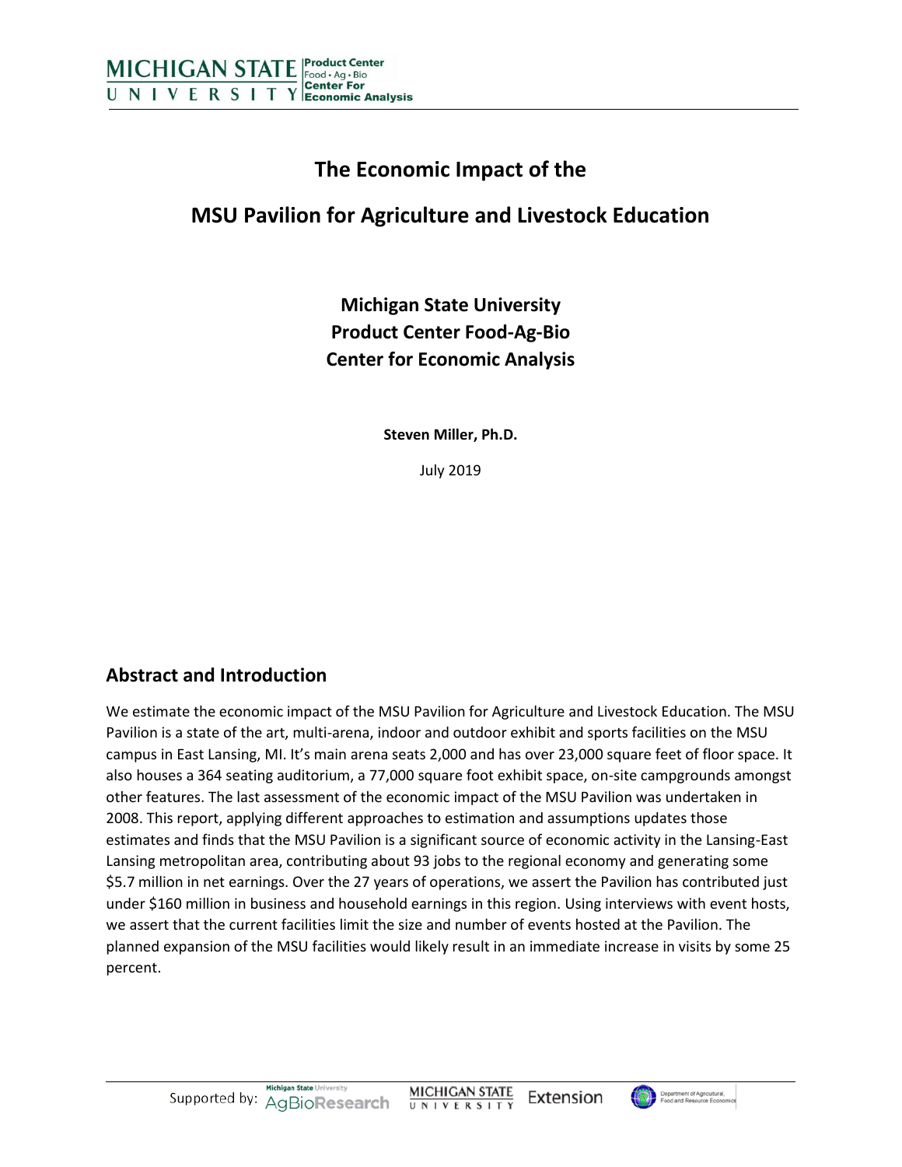

# **The Economic Impact of the**

# **MSU Pavilion for Agriculture and Livestock Education**

# **Michigan State University Product Center Food-Ag-Bio Center for Economic Analysis**

**Steven Miller, Ph.D.**

July 2019

# **Abstract and Introduction**

We estimate the economic impact of the MSU Pavilion for Agriculture and Livestock Education. The MSU Pavilion is a state of the art, multi-arena, indoor and outdoor exhibit and sports facilities on the MSU campus in East Lansing, MI. It's main arena seats 2,000 and has over 23,000 square feet of floor space. It also houses a 364 seating auditorium, a 77,000 square foot exhibit space, on-site campgrounds amongst other features. The last assessment of the economic impact of the MSU Pavilion was undertaken in 2008. This report, applying different approaches to estimation and assumptions updates those estimates and finds that the MSU Pavilion is a significant source of economic activity in the Lansing-East Lansing metropolitan area, contributing about 93 jobs to the regional economy and generating some \$5.7 million in net earnings. Over the 27 years of operations, we assert the Pavilion has contributed just under \$160 million in business and household earnings in this region. Using interviews with event hosts, we assert that the current facilities limit the size and number of events hosted at the Pavilion. The planned expansion of the MSU facilities would likely result in an immediate increase in visits by some 25 percent.

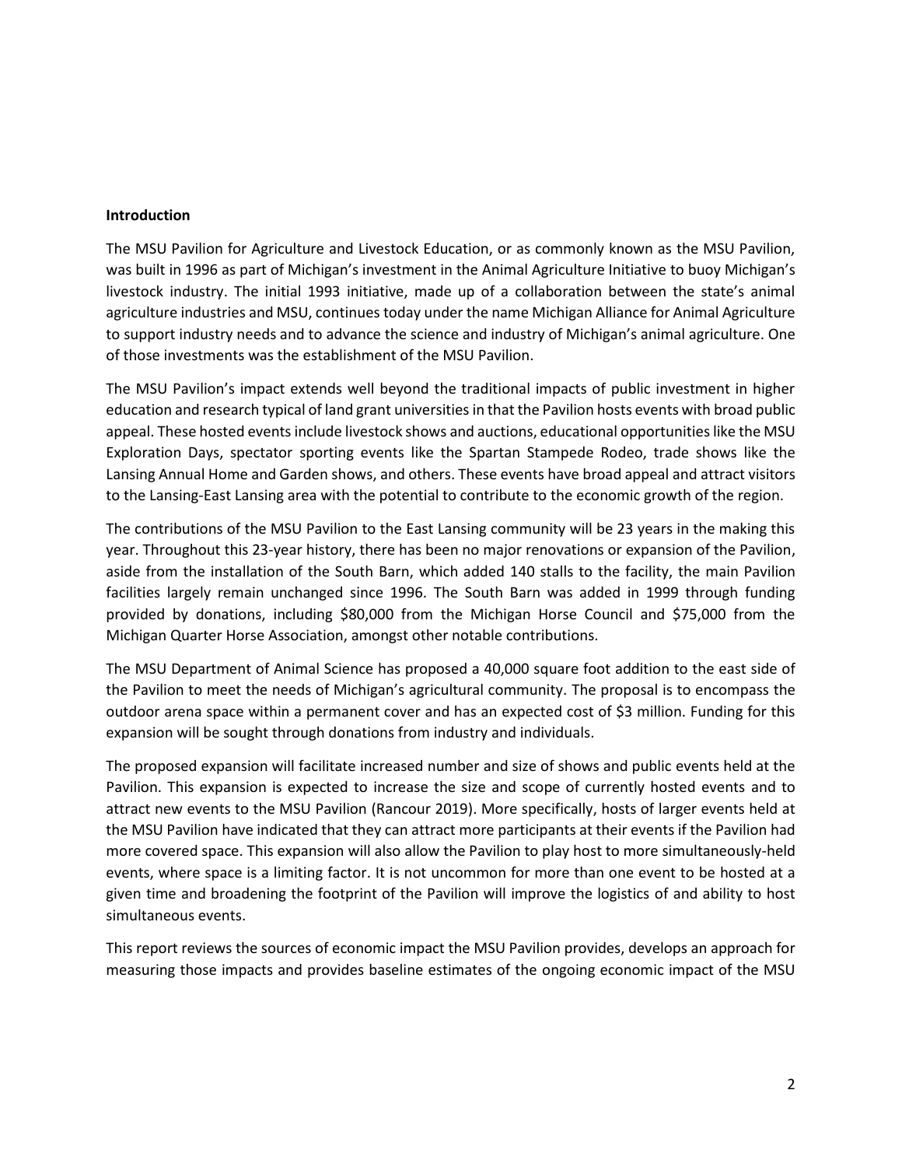#### **Introduction**

The MSU Pavilion for Agriculture and Livestock Education, or as commonly known as the MSU Pavilion, was built in 1996 as part of Michigan's investment in the Animal Agriculture Initiative to buoy Michigan's livestock industry. The initial 1993 initiative, made up of a collaboration between the state's animal agriculture industries and MSU, continues today under the name Michigan Alliance for Animal Agriculture to support industry needs and to advance the science and industry of Michigan's animal agriculture. One of those investments was the establishment of the MSU Pavilion.

The MSU Pavilion's impact extends well beyond the traditional impacts of public investment in higher education and research typical of land grant universitiesin that the Pavilion hosts events with broad public appeal. These hosted events include livestock shows and auctions, educational opportunities like the MSU Exploration Days, spectator sporting events like the Spartan Stampede Rodeo, trade shows like the Lansing Annual Home and Garden shows, and others. These events have broad appeal and attract visitors to the Lansing-East Lansing area with the potential to contribute to the economic growth of the region.

The contributions of the MSU Pavilion to the East Lansing community will be 23 years in the making this year. Throughout this 23-year history, there has been no major renovations or expansion of the Pavilion, aside from the installation of the South Barn, which added 140 stalls to the facility, the main Pavilion facilities largely remain unchanged since 1996. The South Barn was added in 1999 through funding provided by donations, including \$80,000 from the Michigan Horse Council and \$75,000 from the Michigan Quarter Horse Association, amongst other notable contributions.

The MSU Department of Animal Science has proposed a 40,000 square foot addition to the east side of the Pavilion to meet the needs of Michigan's agricultural community. The proposal is to encompass the outdoor arena space within a permanent cover and has an expected cost of \$3 million. Funding for this expansion will be sought through donations from industry and individuals.

The proposed expansion will facilitate increased number and size of shows and public events held at the Pavilion. This expansion is expected to increase the size and scope of currently hosted events and to attract new events to the MSU Pavilion (Rancour 2019). More specifically, hosts of larger events held at the MSU Pavilion have indicated that they can attract more participants at their events if the Pavilion had more covered space. This expansion will also allow the Pavilion to play host to more simultaneously-held events, where space is a limiting factor. It is not uncommon for more than one event to be hosted at a given time and broadening the footprint of the Pavilion will improve the logistics of and ability to host simultaneous events.

This report reviews the sources of economic impact the MSU Pavilion provides, develops an approach for measuring those impacts and provides baseline estimates of the ongoing economic impact of the MSU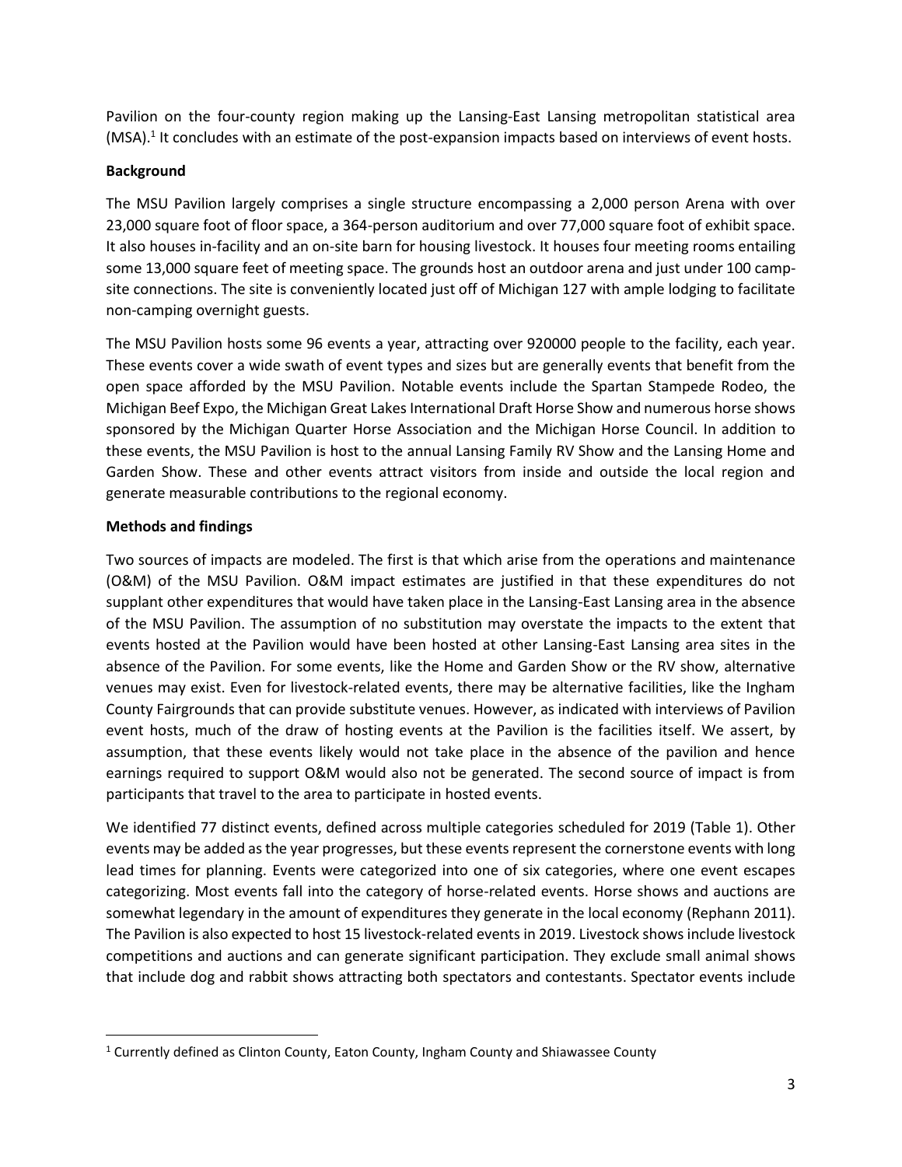Pavilion on the four-county region making up the Lansing-East Lansing metropolitan statistical area (MSA).<sup>1</sup> It concludes with an estimate of the post-expansion impacts based on interviews of event hosts.

## **Background**

The MSU Pavilion largely comprises a single structure encompassing a 2,000 person Arena with over 23,000 square foot of floor space, a 364-person auditorium and over 77,000 square foot of exhibit space. It also houses in-facility and an on-site barn for housing livestock. It houses four meeting rooms entailing some 13,000 square feet of meeting space. The grounds host an outdoor arena and just under 100 campsite connections. The site is conveniently located just off of Michigan 127 with ample lodging to facilitate non-camping overnight guests.

The MSU Pavilion hosts some 96 events a year, attracting over 920000 people to the facility, each year. These events cover a wide swath of event types and sizes but are generally events that benefit from the open space afforded by the MSU Pavilion. Notable events include the Spartan Stampede Rodeo, the Michigan Beef Expo, the Michigan Great Lakes International Draft Horse Show and numerous horse shows sponsored by the Michigan Quarter Horse Association and the Michigan Horse Council. In addition to these events, the MSU Pavilion is host to the annual Lansing Family RV Show and the Lansing Home and Garden Show. These and other events attract visitors from inside and outside the local region and generate measurable contributions to the regional economy.

## **Methods and findings**

 $\overline{\phantom{a}}$ 

Two sources of impacts are modeled. The first is that which arise from the operations and maintenance (O&M) of the MSU Pavilion. O&M impact estimates are justified in that these expenditures do not supplant other expenditures that would have taken place in the Lansing-East Lansing area in the absence of the MSU Pavilion. The assumption of no substitution may overstate the impacts to the extent that events hosted at the Pavilion would have been hosted at other Lansing-East Lansing area sites in the absence of the Pavilion. For some events, like the Home and Garden Show or the RV show, alternative venues may exist. Even for livestock-related events, there may be alternative facilities, like the Ingham County Fairgrounds that can provide substitute venues. However, as indicated with interviews of Pavilion event hosts, much of the draw of hosting events at the Pavilion is the facilities itself. We assert, by assumption, that these events likely would not take place in the absence of the pavilion and hence earnings required to support O&M would also not be generated. The second source of impact is from participants that travel to the area to participate in hosted events.

We identified 77 distinct events, defined across multiple categories scheduled for 2019 (Table 1). Other events may be added as the year progresses, but these events represent the cornerstone events with long lead times for planning. Events were categorized into one of six categories, where one event escapes categorizing. Most events fall into the category of horse-related events. Horse shows and auctions are somewhat legendary in the amount of expenditures they generate in the local economy (Rephann 2011). The Pavilion is also expected to host 15 livestock-related events in 2019. Livestock shows include livestock competitions and auctions and can generate significant participation. They exclude small animal shows that include dog and rabbit shows attracting both spectators and contestants. Spectator events include

<sup>&</sup>lt;sup>1</sup> Currently defined as Clinton County, Eaton County, Ingham County and Shiawassee County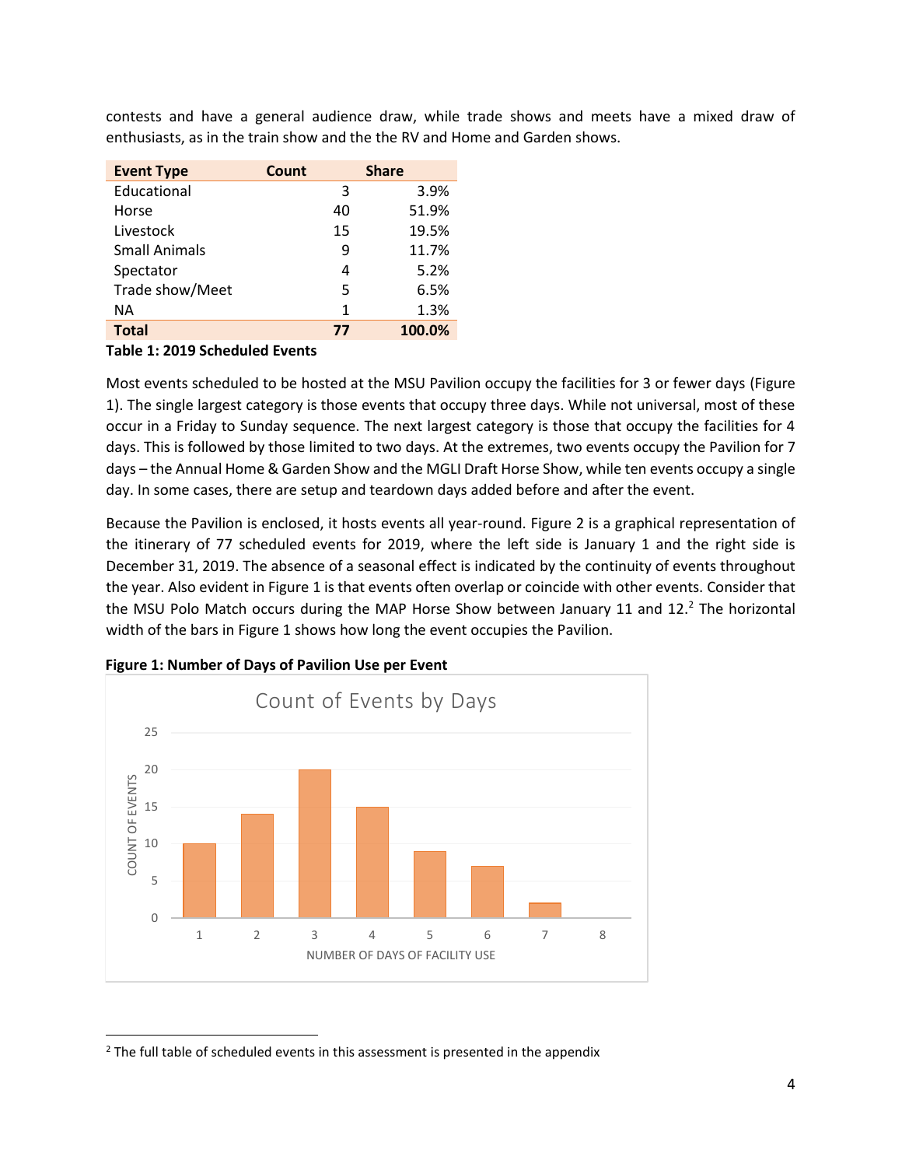contests and have a general audience draw, while trade shows and meets have a mixed draw of enthusiasts, as in the train show and the the RV and Home and Garden shows.

| <b>Event Type</b>    | Count | <b>Share</b> |
|----------------------|-------|--------------|
| Educational          | 3     | 3.9%         |
| Horse                | 40    | 51.9%        |
| Livestock            | 15    | 19.5%        |
| <b>Small Animals</b> | 9     | 11.7%        |
| Spectator            | 4     | 5.2%         |
| Trade show/Meet      | 5     | 6.5%         |
| ΝA                   | 1     | 1.3%         |
| <b>Total</b>         | 77    | 100.0%       |

#### **Table 1: 2019 Scheduled Events**

 $\overline{\phantom{a}}$ 

Most events scheduled to be hosted at the MSU Pavilion occupy the facilities for 3 or fewer days (Figure 1). The single largest category is those events that occupy three days. While not universal, most of these occur in a Friday to Sunday sequence. The next largest category is those that occupy the facilities for 4 days. This is followed by those limited to two days. At the extremes, two events occupy the Pavilion for 7 days – the Annual Home & Garden Show and the MGLI Draft Horse Show, while ten events occupy a single day. In some cases, there are setup and teardown days added before and after the event.

Because the Pavilion is enclosed, it hosts events all year-round. Figure 2 is a graphical representation of the itinerary of 77 scheduled events for 2019, where the left side is January 1 and the right side is December 31, 2019. The absence of a seasonal effect is indicated by the continuity of events throughout the year. Also evident in Figure 1 is that events often overlap or coincide with other events. Consider that the MSU Polo Match occurs during the MAP Horse Show between January 11 and 12.<sup>2</sup> The horizontal width of the bars in Figure 1 shows how long the event occupies the Pavilion.



**Figure 1: Number of Days of Pavilion Use per Event**

 $2$  The full table of scheduled events in this assessment is presented in the appendix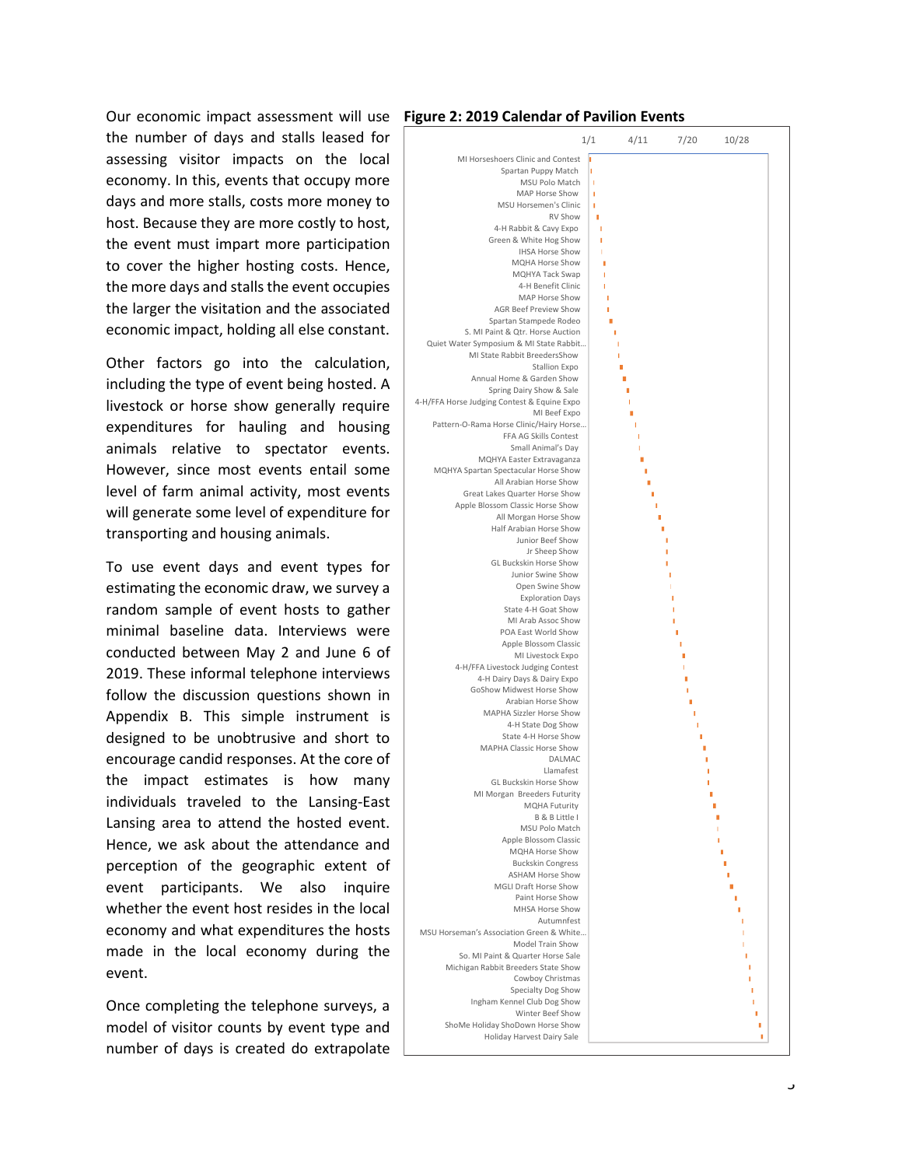Our economic impact assessment will use **Figure 2: 2019 Calendar of Pavilion Events** the number of days and stalls leased for assessing visitor impacts on the local economy. In this, events that occupy more days and more stalls, costs more money to host. Because they are more costly to host, the event must impart more participation to cover the higher hosting costs. Hence, the more days and stalls the event occupies the larger the visitation and the associated economic impact, holding all else constant.

Other factors go into the calculation, including the type of event being hosted. A livestock or horse show generally require expenditures for hauling and housing animals relative to spectator events. However, since most events entail some level of farm animal activity, most events will generate some level of expenditure for transporting and housing animals.

To use event days and event types for estimating the economic draw, we survey a random sample of event hosts to gather minimal baseline data. Interviews were conducted between May 2 and June 6 of 2019. These informal telephone interviews follow the discussion questions shown in Appendix B. This simple instrument is designed to be unobtrusive and short to encourage candid responses. At the core of the impact estimates is how many individuals traveled to the Lansing-East Lansing area to attend the hosted event. Hence, we ask about the attendance and perception of the geographic extent of event participants. We also inquire whether the event host resides in the local economy and what expenditures the hosts made in the local economy during the event.

Once completing the telephone surveys, a model of visitor counts by event type and number of days is created do extrapolate

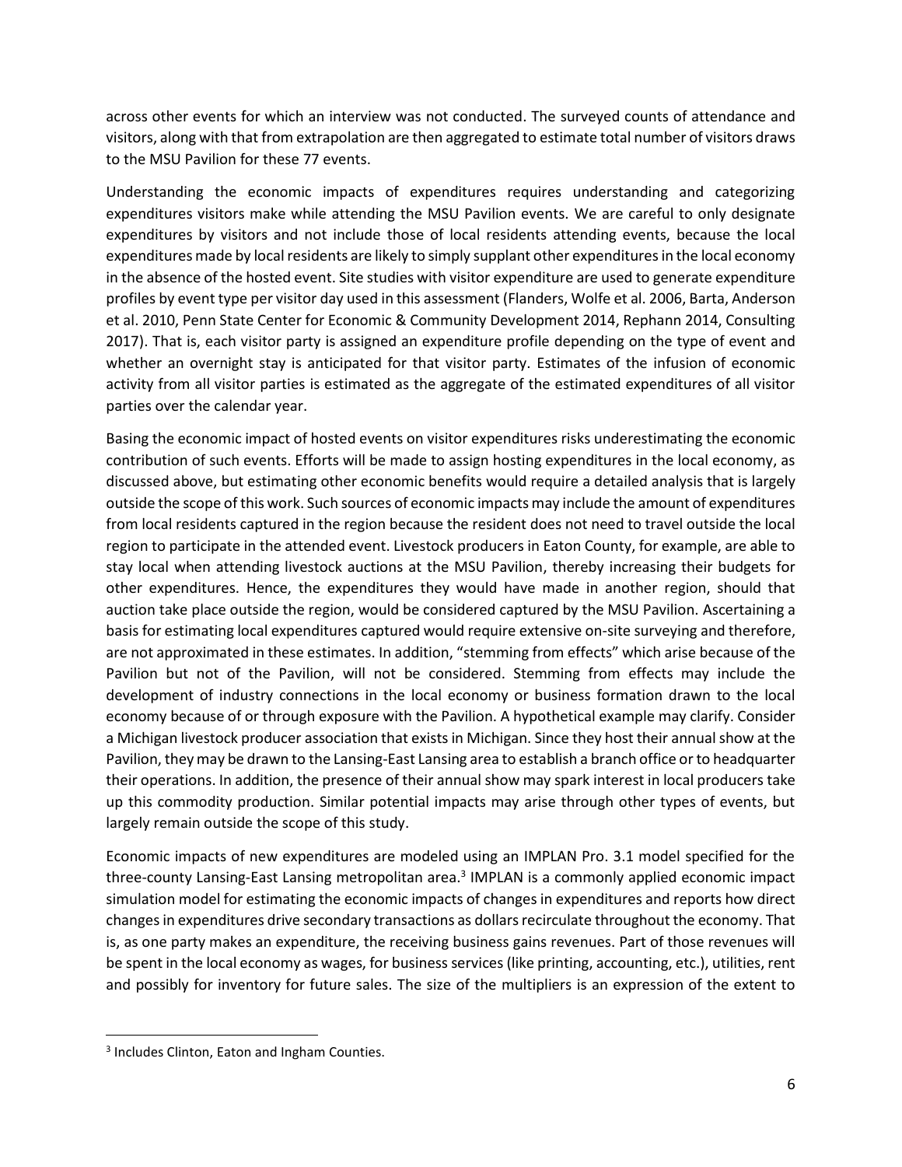across other events for which an interview was not conducted. The surveyed counts of attendance and visitors, along with that from extrapolation are then aggregated to estimate total number of visitors draws to the MSU Pavilion for these 77 events.

Understanding the economic impacts of expenditures requires understanding and categorizing expenditures visitors make while attending the MSU Pavilion events. We are careful to only designate expenditures by visitors and not include those of local residents attending events, because the local expenditures made by local residents are likely to simply supplant other expenditures in the local economy in the absence of the hosted event. Site studies with visitor expenditure are used to generate expenditure profiles by event type per visitor day used in this assessment (Flanders, Wolfe et al. 2006, Barta, Anderson et al. 2010, Penn State Center for Economic & Community Development 2014, Rephann 2014, Consulting 2017). That is, each visitor party is assigned an expenditure profile depending on the type of event and whether an overnight stay is anticipated for that visitor party. Estimates of the infusion of economic activity from all visitor parties is estimated as the aggregate of the estimated expenditures of all visitor parties over the calendar year.

Basing the economic impact of hosted events on visitor expenditures risks underestimating the economic contribution of such events. Efforts will be made to assign hosting expenditures in the local economy, as discussed above, but estimating other economic benefits would require a detailed analysis that is largely outside the scope of this work. Such sources of economic impacts may include the amount of expenditures from local residents captured in the region because the resident does not need to travel outside the local region to participate in the attended event. Livestock producers in Eaton County, for example, are able to stay local when attending livestock auctions at the MSU Pavilion, thereby increasing their budgets for other expenditures. Hence, the expenditures they would have made in another region, should that auction take place outside the region, would be considered captured by the MSU Pavilion. Ascertaining a basis for estimating local expenditures captured would require extensive on-site surveying and therefore, are not approximated in these estimates. In addition, "stemming from effects" which arise because of the Pavilion but not of the Pavilion, will not be considered. Stemming from effects may include the development of industry connections in the local economy or business formation drawn to the local economy because of or through exposure with the Pavilion. A hypothetical example may clarify. Consider a Michigan livestock producer association that exists in Michigan. Since they host their annual show at the Pavilion, they may be drawn to the Lansing-East Lansing area to establish a branch office or to headquarter their operations. In addition, the presence of their annual show may spark interest in local producers take up this commodity production. Similar potential impacts may arise through other types of events, but largely remain outside the scope of this study.

Economic impacts of new expenditures are modeled using an IMPLAN Pro. 3.1 model specified for the three-county Lansing-East Lansing metropolitan area.<sup>3</sup> IMPLAN is a commonly applied economic impact simulation model for estimating the economic impacts of changes in expenditures and reports how direct changes in expenditures drive secondary transactions as dollars recirculate throughout the economy. That is, as one party makes an expenditure, the receiving business gains revenues. Part of those revenues will be spent in the local economy as wages, for business services (like printing, accounting, etc.), utilities, rent and possibly for inventory for future sales. The size of the multipliers is an expression of the extent to

 $\overline{\phantom{a}}$ 

<sup>&</sup>lt;sup>3</sup> Includes Clinton, Eaton and Ingham Counties.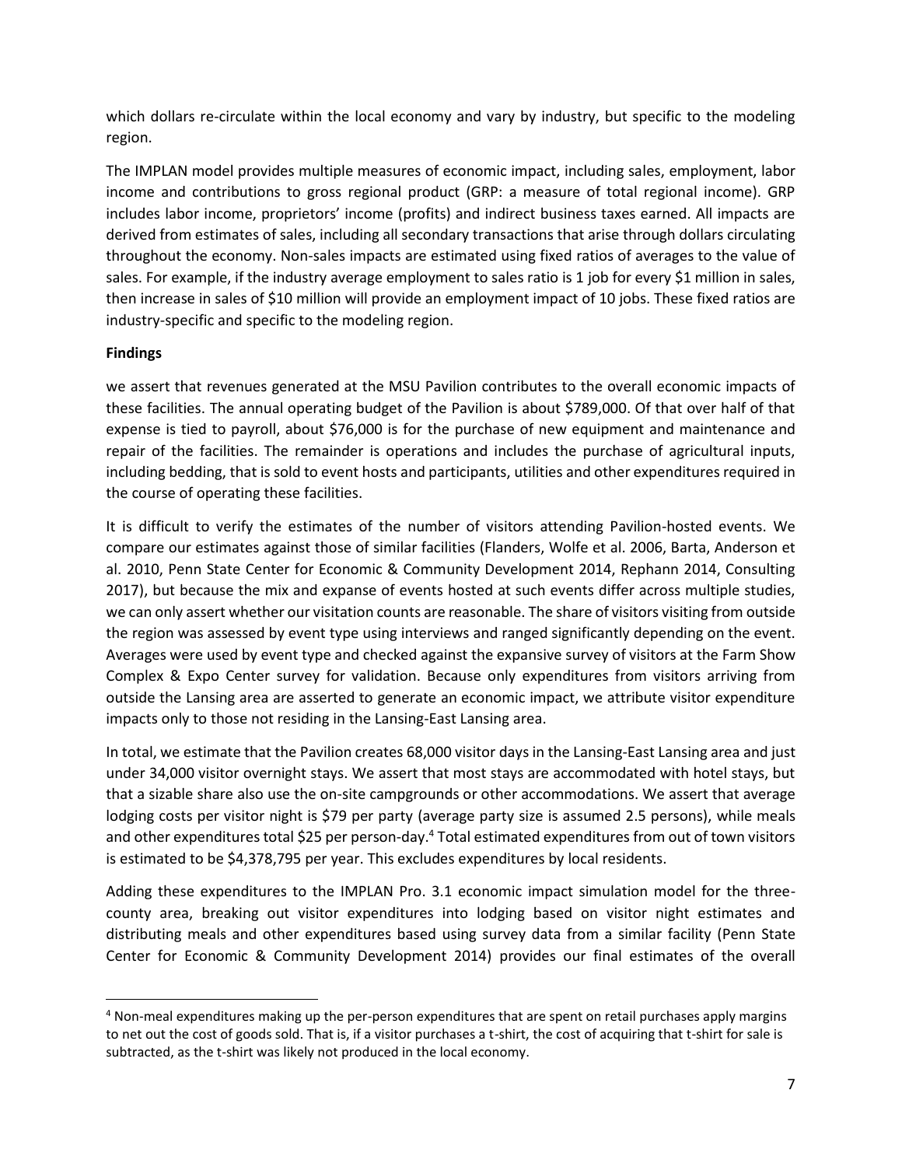which dollars re-circulate within the local economy and vary by industry, but specific to the modeling region.

The IMPLAN model provides multiple measures of economic impact, including sales, employment, labor income and contributions to gross regional product (GRP: a measure of total regional income). GRP includes labor income, proprietors' income (profits) and indirect business taxes earned. All impacts are derived from estimates of sales, including all secondary transactions that arise through dollars circulating throughout the economy. Non-sales impacts are estimated using fixed ratios of averages to the value of sales. For example, if the industry average employment to sales ratio is 1 job for every \$1 million in sales, then increase in sales of \$10 million will provide an employment impact of 10 jobs. These fixed ratios are industry-specific and specific to the modeling region.

## **Findings**

 $\overline{a}$ 

we assert that revenues generated at the MSU Pavilion contributes to the overall economic impacts of these facilities. The annual operating budget of the Pavilion is about \$789,000. Of that over half of that expense is tied to payroll, about \$76,000 is for the purchase of new equipment and maintenance and repair of the facilities. The remainder is operations and includes the purchase of agricultural inputs, including bedding, that is sold to event hosts and participants, utilities and other expenditures required in the course of operating these facilities.

It is difficult to verify the estimates of the number of visitors attending Pavilion-hosted events. We compare our estimates against those of similar facilities (Flanders, Wolfe et al. 2006, Barta, Anderson et al. 2010, Penn State Center for Economic & Community Development 2014, Rephann 2014, Consulting 2017), but because the mix and expanse of events hosted at such events differ across multiple studies, we can only assert whether our visitation counts are reasonable. The share of visitors visiting from outside the region was assessed by event type using interviews and ranged significantly depending on the event. Averages were used by event type and checked against the expansive survey of visitors at the Farm Show Complex & Expo Center survey for validation. Because only expenditures from visitors arriving from outside the Lansing area are asserted to generate an economic impact, we attribute visitor expenditure impacts only to those not residing in the Lansing-East Lansing area.

In total, we estimate that the Pavilion creates 68,000 visitor days in the Lansing-East Lansing area and just under 34,000 visitor overnight stays. We assert that most stays are accommodated with hotel stays, but that a sizable share also use the on-site campgrounds or other accommodations. We assert that average lodging costs per visitor night is \$79 per party (average party size is assumed 2.5 persons), while meals and other expenditures total \$25 per person-day.<sup>4</sup> Total estimated expenditures from out of town visitors is estimated to be \$4,378,795 per year. This excludes expenditures by local residents.

Adding these expenditures to the IMPLAN Pro. 3.1 economic impact simulation model for the threecounty area, breaking out visitor expenditures into lodging based on visitor night estimates and distributing meals and other expenditures based using survey data from a similar facility (Penn State Center for Economic & Community Development 2014) provides our final estimates of the overall

<sup>4</sup> Non-meal expenditures making up the per-person expenditures that are spent on retail purchases apply margins to net out the cost of goods sold. That is, if a visitor purchases a t-shirt, the cost of acquiring that t-shirt for sale is subtracted, as the t-shirt was likely not produced in the local economy.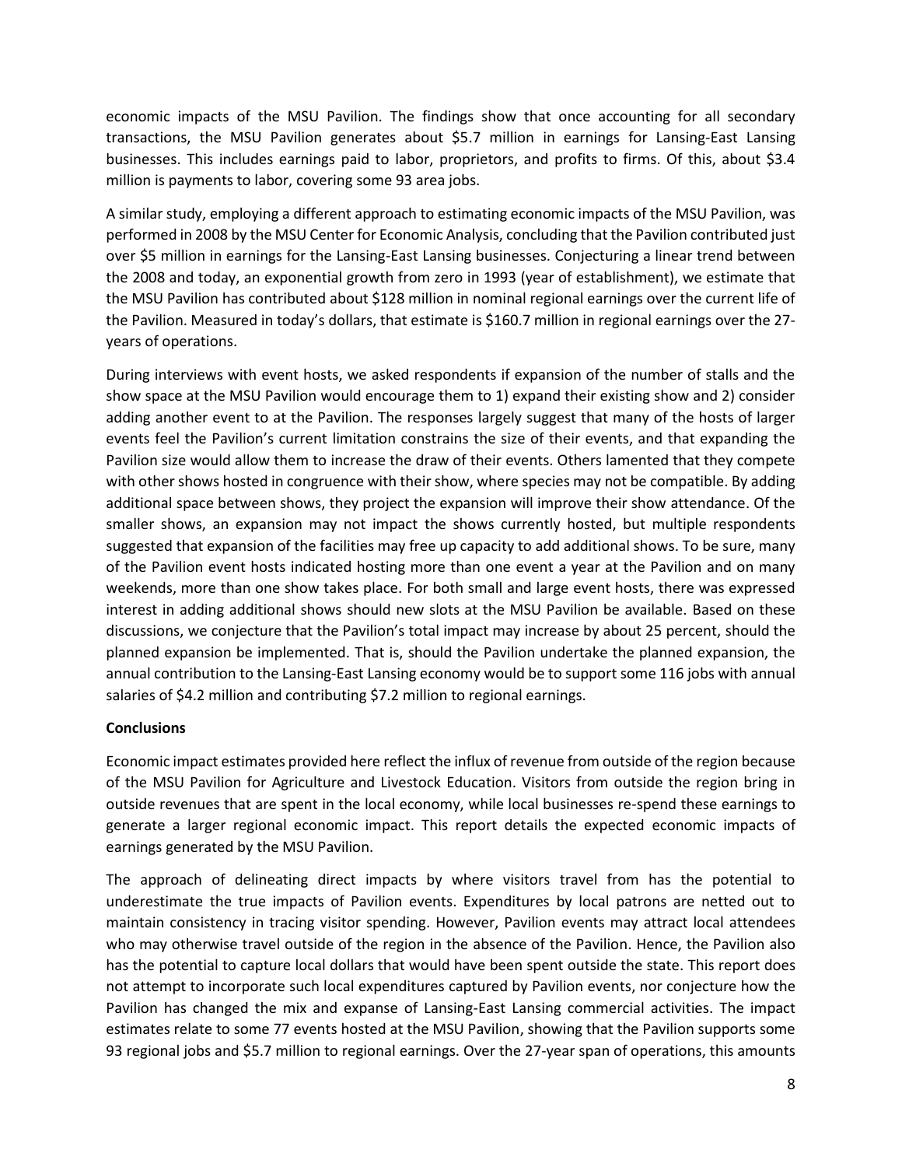economic impacts of the MSU Pavilion. The findings show that once accounting for all secondary transactions, the MSU Pavilion generates about \$5.7 million in earnings for Lansing-East Lansing businesses. This includes earnings paid to labor, proprietors, and profits to firms. Of this, about \$3.4 million is payments to labor, covering some 93 area jobs.

A similar study, employing a different approach to estimating economic impacts of the MSU Pavilion, was performed in 2008 by the MSU Center for Economic Analysis, concluding that the Pavilion contributed just over \$5 million in earnings for the Lansing-East Lansing businesses. Conjecturing a linear trend between the 2008 and today, an exponential growth from zero in 1993 (year of establishment), we estimate that the MSU Pavilion has contributed about \$128 million in nominal regional earnings over the current life of the Pavilion. Measured in today's dollars, that estimate is \$160.7 million in regional earnings over the 27 years of operations.

During interviews with event hosts, we asked respondents if expansion of the number of stalls and the show space at the MSU Pavilion would encourage them to 1) expand their existing show and 2) consider adding another event to at the Pavilion. The responses largely suggest that many of the hosts of larger events feel the Pavilion's current limitation constrains the size of their events, and that expanding the Pavilion size would allow them to increase the draw of their events. Others lamented that they compete with other shows hosted in congruence with their show, where species may not be compatible. By adding additional space between shows, they project the expansion will improve their show attendance. Of the smaller shows, an expansion may not impact the shows currently hosted, but multiple respondents suggested that expansion of the facilities may free up capacity to add additional shows. To be sure, many of the Pavilion event hosts indicated hosting more than one event a year at the Pavilion and on many weekends, more than one show takes place. For both small and large event hosts, there was expressed interest in adding additional shows should new slots at the MSU Pavilion be available. Based on these discussions, we conjecture that the Pavilion's total impact may increase by about 25 percent, should the planned expansion be implemented. That is, should the Pavilion undertake the planned expansion, the annual contribution to the Lansing-East Lansing economy would be to support some 116 jobs with annual salaries of \$4.2 million and contributing \$7.2 million to regional earnings.

## **Conclusions**

Economic impact estimates provided here reflect the influx of revenue from outside of the region because of the MSU Pavilion for Agriculture and Livestock Education. Visitors from outside the region bring in outside revenues that are spent in the local economy, while local businesses re-spend these earnings to generate a larger regional economic impact. This report details the expected economic impacts of earnings generated by the MSU Pavilion.

The approach of delineating direct impacts by where visitors travel from has the potential to underestimate the true impacts of Pavilion events. Expenditures by local patrons are netted out to maintain consistency in tracing visitor spending. However, Pavilion events may attract local attendees who may otherwise travel outside of the region in the absence of the Pavilion. Hence, the Pavilion also has the potential to capture local dollars that would have been spent outside the state. This report does not attempt to incorporate such local expenditures captured by Pavilion events, nor conjecture how the Pavilion has changed the mix and expanse of Lansing-East Lansing commercial activities. The impact estimates relate to some 77 events hosted at the MSU Pavilion, showing that the Pavilion supports some 93 regional jobs and \$5.7 million to regional earnings. Over the 27-year span of operations, this amounts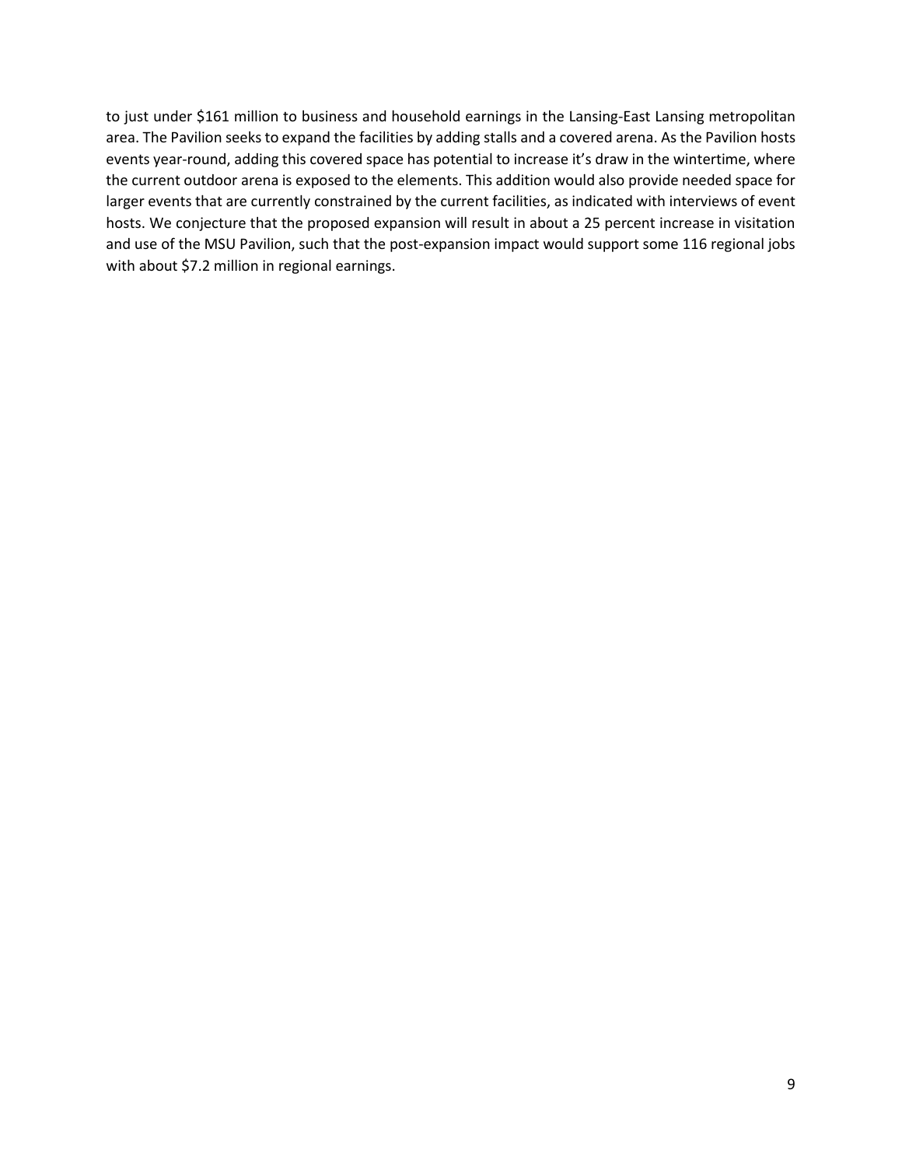to just under \$161 million to business and household earnings in the Lansing-East Lansing metropolitan area. The Pavilion seeks to expand the facilities by adding stalls and a covered arena. As the Pavilion hosts events year-round, adding this covered space has potential to increase it's draw in the wintertime, where the current outdoor arena is exposed to the elements. This addition would also provide needed space for larger events that are currently constrained by the current facilities, as indicated with interviews of event hosts. We conjecture that the proposed expansion will result in about a 25 percent increase in visitation and use of the MSU Pavilion, such that the post-expansion impact would support some 116 regional jobs with about \$7.2 million in regional earnings.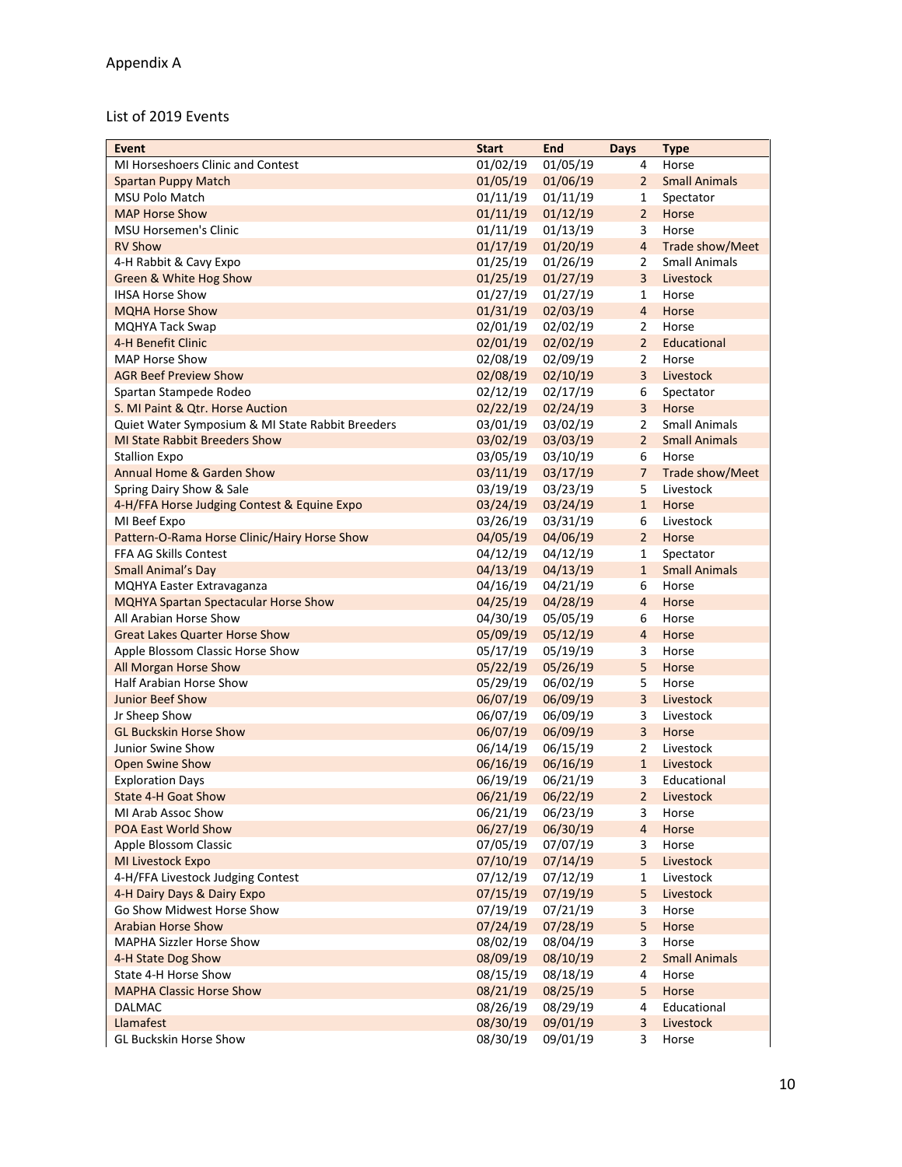# List of 2019 Events

| <b>Event</b>                                     | <b>Start</b>         | <b>End</b>           | <b>Days</b>    | <b>Type</b>          |
|--------------------------------------------------|----------------------|----------------------|----------------|----------------------|
| MI Horseshoers Clinic and Contest                | 01/02/19             | 01/05/19             | 4              | Horse                |
| <b>Spartan Puppy Match</b>                       | 01/05/19             | 01/06/19             | $\overline{2}$ | <b>Small Animals</b> |
| <b>MSU Polo Match</b>                            | 01/11/19             | 01/11/19             | 1              | Spectator            |
| <b>MAP Horse Show</b>                            | 01/11/19             | 01/12/19             | $\overline{2}$ | Horse                |
| <b>MSU Horsemen's Clinic</b>                     | 01/11/19             | 01/13/19             | 3              | Horse                |
| <b>RV Show</b>                                   | 01/17/19             | 01/20/19             | $\overline{4}$ | Trade show/Meet      |
| 4-H Rabbit & Cavy Expo                           | 01/25/19             | 01/26/19             | 2              | <b>Small Animals</b> |
| Green & White Hog Show                           | 01/25/19             | 01/27/19             | $\overline{3}$ | Livestock            |
| <b>IHSA Horse Show</b>                           | 01/27/19             | 01/27/19             | 1              | Horse                |
| <b>MQHA Horse Show</b>                           | 01/31/19             | 02/03/19             | $\overline{4}$ | Horse                |
| <b>MQHYA Tack Swap</b>                           | 02/01/19             | 02/02/19             | $\overline{2}$ | Horse                |
| 4-H Benefit Clinic                               | 02/01/19             | 02/02/19             | $\overline{2}$ | Educational          |
| <b>MAP Horse Show</b>                            | 02/08/19             | 02/09/19             | 2              | Horse                |
| <b>AGR Beef Preview Show</b>                     | 02/08/19             | 02/10/19             | $\overline{3}$ | Livestock            |
| Spartan Stampede Rodeo                           | 02/12/19             | 02/17/19             | 6              | Spectator            |
| S. MI Paint & Qtr. Horse Auction                 | 02/22/19             | 02/24/19             | $\overline{3}$ | Horse                |
| Quiet Water Symposium & MI State Rabbit Breeders | 03/01/19             | 03/02/19             | $\overline{2}$ | <b>Small Animals</b> |
| <b>MI State Rabbit Breeders Show</b>             | 03/02/19             | 03/03/19             | $\overline{2}$ | <b>Small Animals</b> |
| <b>Stallion Expo</b>                             | 03/05/19             | 03/10/19             | 6              | Horse                |
| Annual Home & Garden Show                        | 03/11/19             | 03/17/19             | 7              | Trade show/Meet      |
| Spring Dairy Show & Sale                         | 03/19/19             | 03/23/19             | 5              | Livestock            |
| 4-H/FFA Horse Judging Contest & Equine Expo      | 03/24/19             | 03/24/19             | $\mathbf{1}$   | Horse                |
| MI Beef Expo                                     | 03/26/19             | 03/31/19             | 6              | Livestock            |
| Pattern-O-Rama Horse Clinic/Hairy Horse Show     | 04/05/19             | 04/06/19             | $\overline{2}$ | Horse                |
| FFA AG Skills Contest                            | 04/12/19             | 04/12/19             | 1              | Spectator            |
| <b>Small Animal's Day</b>                        | 04/13/19             | 04/13/19             | $\mathbf{1}$   | <b>Small Animals</b> |
| MQHYA Easter Extravaganza                        | 04/16/19             | 04/21/19             | 6              | Horse                |
| <b>MQHYA Spartan Spectacular Horse Show</b>      | 04/25/19             | 04/28/19             | $\overline{4}$ | Horse                |
| All Arabian Horse Show                           | 04/30/19             | 05/05/19             | 6              | Horse                |
| <b>Great Lakes Quarter Horse Show</b>            | 05/09/19             | 05/12/19             | $\overline{4}$ | Horse                |
| Apple Blossom Classic Horse Show                 | 05/17/19             | 05/19/19             | 3              | Horse                |
| All Morgan Horse Show                            | 05/22/19             | 05/26/19             | 5              | Horse                |
| Half Arabian Horse Show                          | 05/29/19             | 06/02/19             | 5              | Horse                |
| Junior Beef Show                                 | 06/07/19             | 06/09/19             | $\overline{3}$ | Livestock            |
| Jr Sheep Show                                    | 06/07/19             | 06/09/19             | 3              | Livestock            |
| <b>GL Buckskin Horse Show</b>                    | 06/07/19             | 06/09/19             | 3              | Horse                |
| Junior Swine Show                                | 06/14/19             | 06/15/19             | 2              | Livestock            |
| Open Swine Show                                  | 06/16/19             | 06/16/19             | $\mathbf{1}$   | Livestock            |
| <b>Exploration Days</b>                          | 06/19/19             | 06/21/19             | 3              | Educational          |
| State 4-H Goat Show                              |                      | 06/21/19 06/22/19    |                | 2 Livestock          |
| MI Arab Assoc Show                               | 06/21/19             | 06/23/19             | 3              | Horse                |
| POA East World Show                              | 06/27/19             | 06/30/19             | $\overline{4}$ | Horse                |
| Apple Blossom Classic                            | 07/05/19             | 07/07/19             | 3              | Horse                |
| MI Livestock Expo                                | 07/10/19             | 07/14/19             | 5              | Livestock            |
| 4-H/FFA Livestock Judging Contest                | 07/12/19             | 07/12/19             | 1              | Livestock            |
| 4-H Dairy Days & Dairy Expo                      | 07/15/19             | 07/19/19             | 5              | Livestock            |
| Go Show Midwest Horse Show                       | 07/19/19             | 07/21/19             | 3              | Horse                |
| <b>Arabian Horse Show</b>                        | 07/24/19             | 07/28/19             | 5              | Horse                |
| <b>MAPHA Sizzler Horse Show</b>                  | 08/02/19             | 08/04/19             | 3              | Horse                |
|                                                  |                      |                      | $\overline{2}$ |                      |
| 4-H State Dog Show<br>State 4-H Horse Show       | 08/09/19<br>08/15/19 | 08/10/19             |                | <b>Small Animals</b> |
| <b>MAPHA Classic Horse Show</b>                  | 08/21/19             | 08/18/19<br>08/25/19 | 4<br>5         | Horse<br>Horse       |
| <b>DALMAC</b>                                    |                      |                      |                |                      |
|                                                  | 08/26/19             | 08/29/19             | 4              | Educational          |
| Llamafest                                        | 08/30/19             | 09/01/19             | 3              | Livestock            |
| GL Buckskin Horse Show                           | 08/30/19             | 09/01/19             | 3              | Horse                |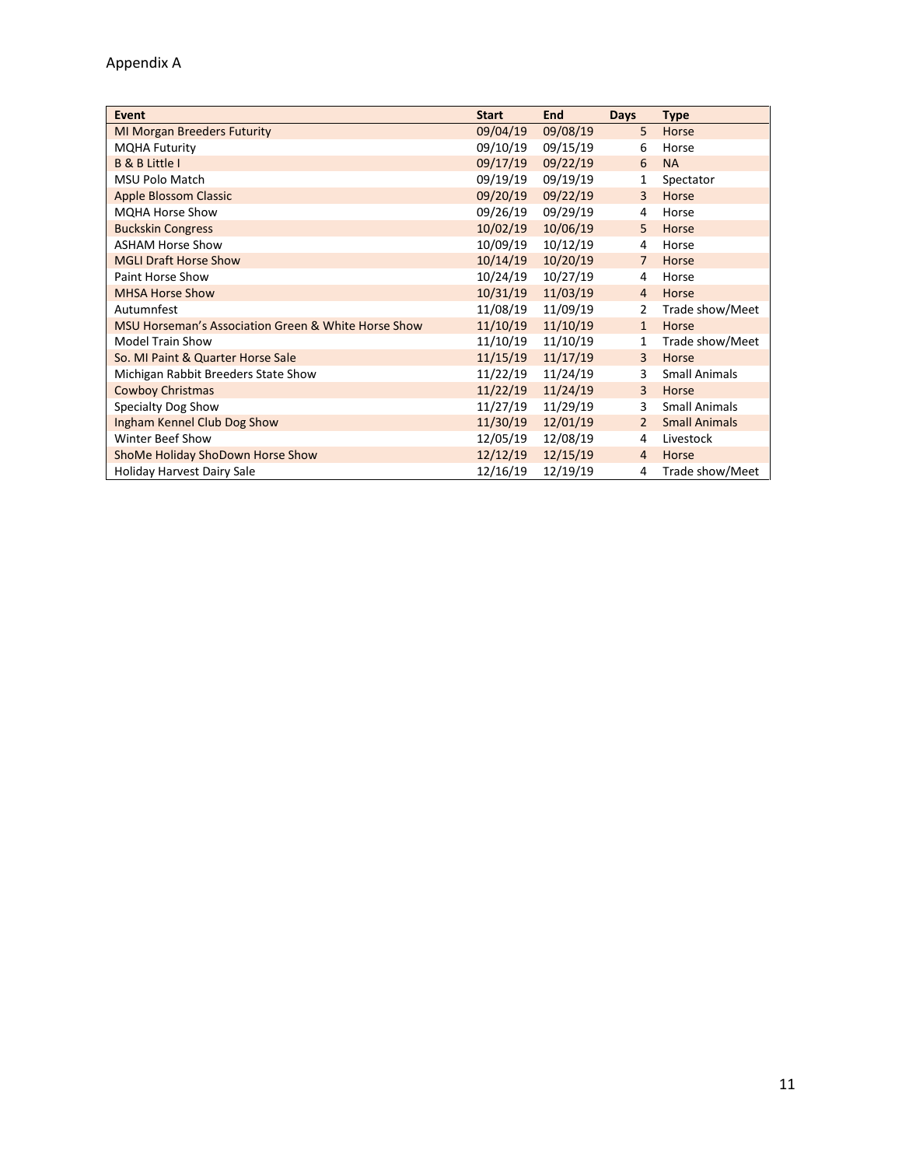| Event                                               | <b>Start</b> | End      | <b>Days</b>    | <b>Type</b>          |
|-----------------------------------------------------|--------------|----------|----------------|----------------------|
| <b>MI Morgan Breeders Futurity</b>                  | 09/04/19     | 09/08/19 | 5              | Horse                |
| <b>MQHA Futurity</b>                                | 09/10/19     | 09/15/19 | 6              | Horse                |
| <b>B &amp; B Little I</b>                           | 09/17/19     | 09/22/19 | 6              | <b>NA</b>            |
| MSU Polo Match                                      | 09/19/19     | 09/19/19 | $\mathbf{1}$   | Spectator            |
| <b>Apple Blossom Classic</b>                        | 09/20/19     | 09/22/19 | $\overline{3}$ | Horse                |
| <b>MQHA Horse Show</b>                              | 09/26/19     | 09/29/19 | 4              | Horse                |
| <b>Buckskin Congress</b>                            | 10/02/19     | 10/06/19 | 5              | Horse                |
| <b>ASHAM Horse Show</b>                             | 10/09/19     | 10/12/19 | 4              | Horse                |
| <b>MGLI Draft Horse Show</b>                        | 10/14/19     | 10/20/19 | $\overline{7}$ | Horse                |
| Paint Horse Show                                    | 10/24/19     | 10/27/19 | 4              | Horse                |
| <b>MHSA Horse Show</b>                              | 10/31/19     | 11/03/19 | $\overline{4}$ | Horse                |
| Autumnfest                                          | 11/08/19     | 11/09/19 | 2              | Trade show/Meet      |
| MSU Horseman's Association Green & White Horse Show | 11/10/19     | 11/10/19 | $\mathbf{1}$   | Horse                |
| <b>Model Train Show</b>                             | 11/10/19     | 11/10/19 | 1              | Trade show/Meet      |
| So. MI Paint & Quarter Horse Sale                   | 11/15/19     | 11/17/19 | $\overline{3}$ | Horse                |
| Michigan Rabbit Breeders State Show                 | 11/22/19     | 11/24/19 | 3              | <b>Small Animals</b> |
| <b>Cowboy Christmas</b>                             | 11/22/19     | 11/24/19 | 3              | Horse                |
| Specialty Dog Show                                  | 11/27/19     | 11/29/19 | 3              | <b>Small Animals</b> |
| Ingham Kennel Club Dog Show                         | 11/30/19     | 12/01/19 | $\overline{2}$ | <b>Small Animals</b> |
| <b>Winter Beef Show</b>                             | 12/05/19     | 12/08/19 | 4              | Livestock            |
| ShoMe Holiday ShoDown Horse Show                    | 12/12/19     | 12/15/19 | $\overline{4}$ | Horse                |
| <b>Holiday Harvest Dairy Sale</b>                   | 12/16/19     | 12/19/19 | 4              | Trade show/Meet      |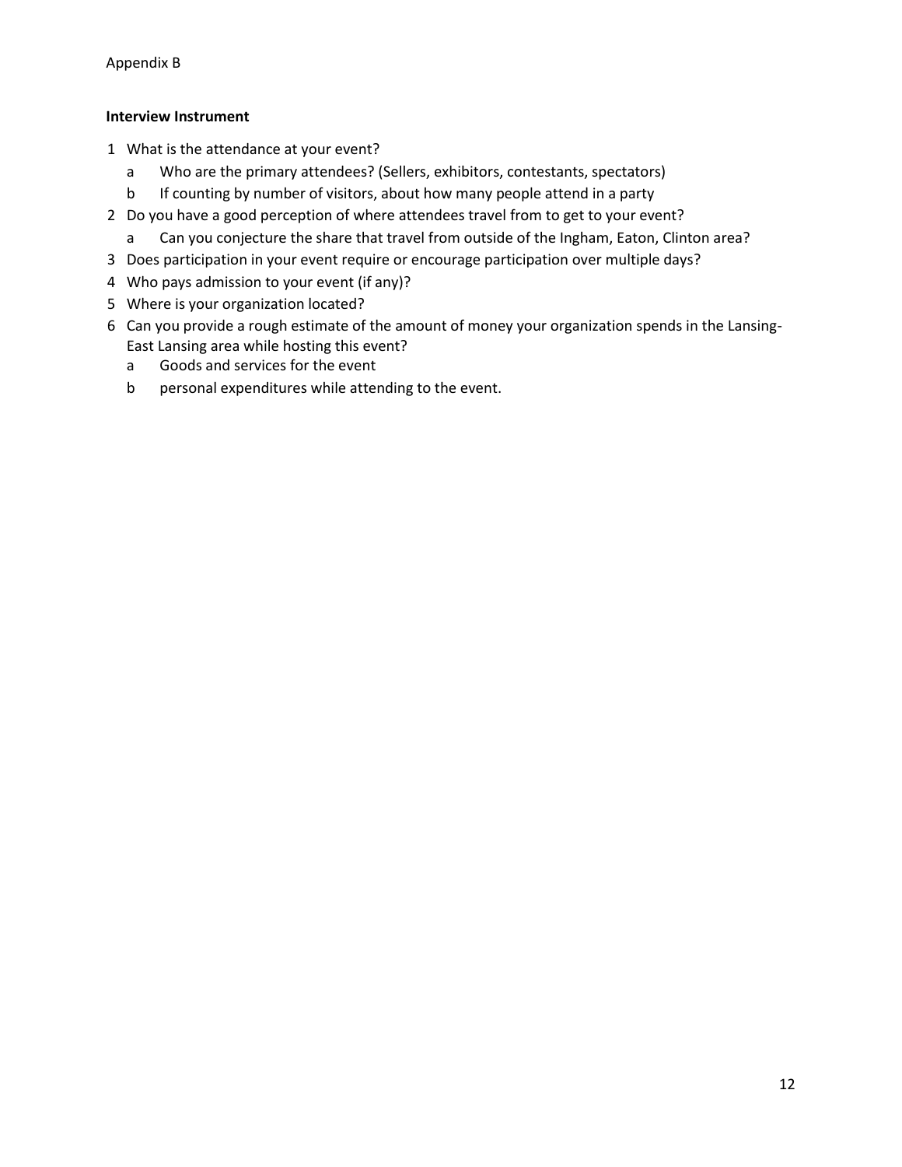## **Interview Instrument**

- 1 What is the attendance at your event?
	- a Who are the primary attendees? (Sellers, exhibitors, contestants, spectators)
	- b If counting by number of visitors, about how many people attend in a party
- 2 Do you have a good perception of where attendees travel from to get to your event?
	- a Can you conjecture the share that travel from outside of the Ingham, Eaton, Clinton area?
- 3 Does participation in your event require or encourage participation over multiple days?
- 4 Who pays admission to your event (if any)?
- 5 Where is your organization located?
- 6 Can you provide a rough estimate of the amount of money your organization spends in the Lansing-East Lansing area while hosting this event?
	- a Goods and services for the event
	- b personal expenditures while attending to the event.